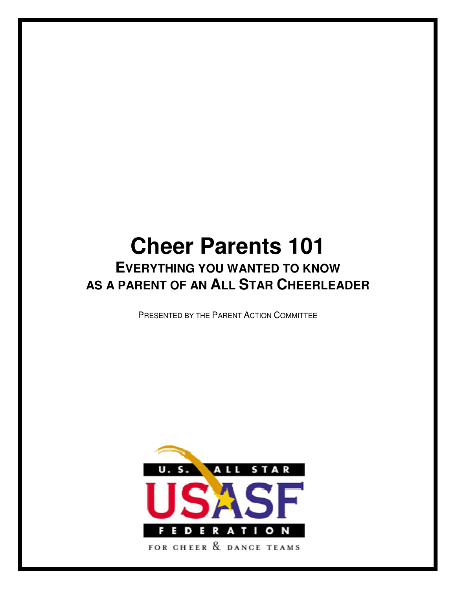# **Cheer Parents 101 EVERYTHING YOU WANTED TO KNOW AS A PARENT OF AN ALL STAR CHEERLEADER**

PRESENTED BY THE PARENT ACTION COMMITTEE

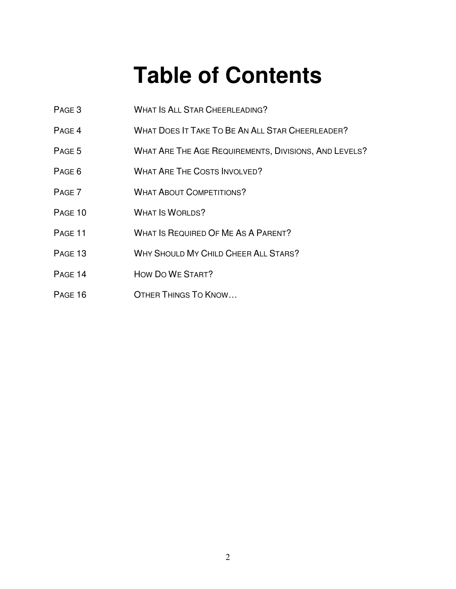# **Table of Contents**

- PAGE 3 WHAT IS ALL STAR CHEERLEADING?
- PAGE 4 WHAT DOES IT TAKE TO BE AN ALL STAR CHEERLEADER?
- PAGE 5 WHAT ARE THE AGE REQUIREMENTS, DIVISIONS, AND LEVELS?
- PAGE 6 WHAT ARE THE COSTS INVOLVED?
- PAGE 7 WHAT ABOUT COMPETITIONS?
- PAGE 10 WHAT IS WORLDS?
- PAGE 11 WHAT IS REQUIRED OF ME AS A PARENT?
- PAGE 13 WHY SHOULD MY CHILD CHEER ALL STARS?
- PAGE 14 HOW DO WE START?
- PAGE 16 OTHER THINGS TO KNOW...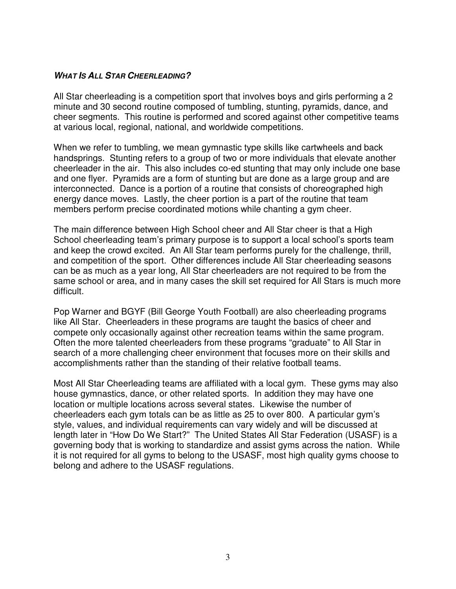#### **WHAT IS ALL STAR CHEERLEADING?**

All Star cheerleading is a competition sport that involves boys and girls performing a 2 minute and 30 second routine composed of tumbling, stunting, pyramids, dance, and cheer segments. This routine is performed and scored against other competitive teams at various local, regional, national, and worldwide competitions.

When we refer to tumbling, we mean gymnastic type skills like cartwheels and back handsprings. Stunting refers to a group of two or more individuals that elevate another cheerleader in the air. This also includes co-ed stunting that may only include one base and one flyer. Pyramids are a form of stunting but are done as a large group and are interconnected. Dance is a portion of a routine that consists of choreographed high energy dance moves. Lastly, the cheer portion is a part of the routine that team members perform precise coordinated motions while chanting a gym cheer.

The main difference between High School cheer and All Star cheer is that a High School cheerleading team's primary purpose is to support a local school's sports team and keep the crowd excited. An All Star team performs purely for the challenge, thrill, and competition of the sport. Other differences include All Star cheerleading seasons can be as much as a year long, All Star cheerleaders are not required to be from the same school or area, and in many cases the skill set required for All Stars is much more difficult.

Pop Warner and BGYF (Bill George Youth Football) are also cheerleading programs like All Star. Cheerleaders in these programs are taught the basics of cheer and compete only occasionally against other recreation teams within the same program. Often the more talented cheerleaders from these programs "graduate" to All Star in search of a more challenging cheer environment that focuses more on their skills and accomplishments rather than the standing of their relative football teams.

Most All Star Cheerleading teams are affiliated with a local gym. These gyms may also house gymnastics, dance, or other related sports. In addition they may have one location or multiple locations across several states. Likewise the number of cheerleaders each gym totals can be as little as 25 to over 800. A particular gym's style, values, and individual requirements can vary widely and will be discussed at length later in "How Do We Start?" The United States All Star Federation (USASF) is a governing body that is working to standardize and assist gyms across the nation. While it is not required for all gyms to belong to the USASF, most high quality gyms choose to belong and adhere to the USASF regulations.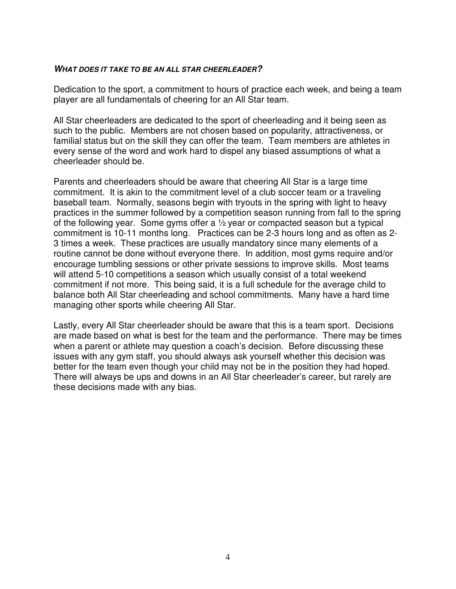#### **WHAT DOES IT TAKE TO BE AN ALL STAR CHEERLEADER?**

Dedication to the sport, a commitment to hours of practice each week, and being a team player are all fundamentals of cheering for an All Star team.

All Star cheerleaders are dedicated to the sport of cheerleading and it being seen as such to the public. Members are not chosen based on popularity, attractiveness, or familial status but on the skill they can offer the team. Team members are athletes in every sense of the word and work hard to dispel any biased assumptions of what a cheerleader should be.

Parents and cheerleaders should be aware that cheering All Star is a large time commitment. It is akin to the commitment level of a club soccer team or a traveling baseball team. Normally, seasons begin with tryouts in the spring with light to heavy practices in the summer followed by a competition season running from fall to the spring of the following year. Some gyms offer a ½ year or compacted season but a typical commitment is 10-11 months long. Practices can be 2-3 hours long and as often as 2- 3 times a week. These practices are usually mandatory since many elements of a routine cannot be done without everyone there. In addition, most gyms require and/or encourage tumbling sessions or other private sessions to improve skills. Most teams will attend 5-10 competitions a season which usually consist of a total weekend commitment if not more. This being said, it is a full schedule for the average child to balance both All Star cheerleading and school commitments. Many have a hard time managing other sports while cheering All Star.

Lastly, every All Star cheerleader should be aware that this is a team sport. Decisions are made based on what is best for the team and the performance. There may be times when a parent or athlete may question a coach's decision. Before discussing these issues with any gym staff, you should always ask yourself whether this decision was better for the team even though your child may not be in the position they had hoped. There will always be ups and downs in an All Star cheerleader's career, but rarely are these decisions made with any bias.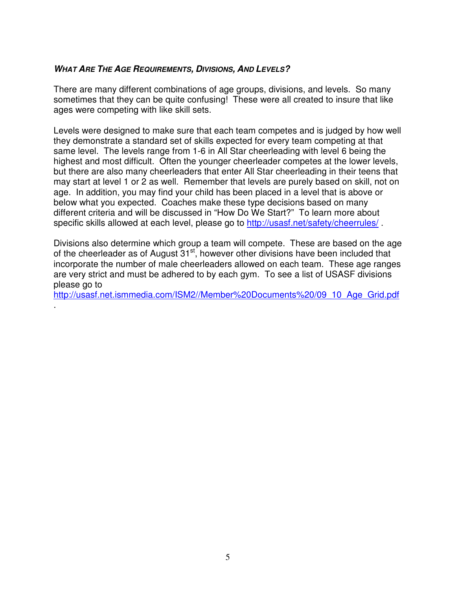#### **WHAT ARE THE AGE REQUIREMENTS, DIVISIONS, AND LEVELS?**

.

There are many different combinations of age groups, divisions, and levels. So many sometimes that they can be quite confusing! These were all created to insure that like ages were competing with like skill sets.

Levels were designed to make sure that each team competes and is judged by how well they demonstrate a standard set of skills expected for every team competing at that same level. The levels range from 1-6 in All Star cheerleading with level 6 being the highest and most difficult. Often the younger cheerleader competes at the lower levels, but there are also many cheerleaders that enter All Star cheerleading in their teens that may start at level 1 or 2 as well. Remember that levels are purely based on skill, not on age. In addition, you may find your child has been placed in a level that is above or below what you expected. Coaches make these type decisions based on many different criteria and will be discussed in "How Do We Start?" To learn more about specific skills allowed at each level, please go to http://usasf.net/safety/cheerrules/.

Divisions also determine which group a team will compete. These are based on the age of the cheerleader as of August  $31<sup>st</sup>$ , however other divisions have been included that incorporate the number of male cheerleaders allowed on each team. These age ranges are very strict and must be adhered to by each gym. To see a list of USASF divisions please go to

http://usasf.net.ismmedia.com/ISM2//Member%20Documents%20/09\_10\_Age\_Grid.pdf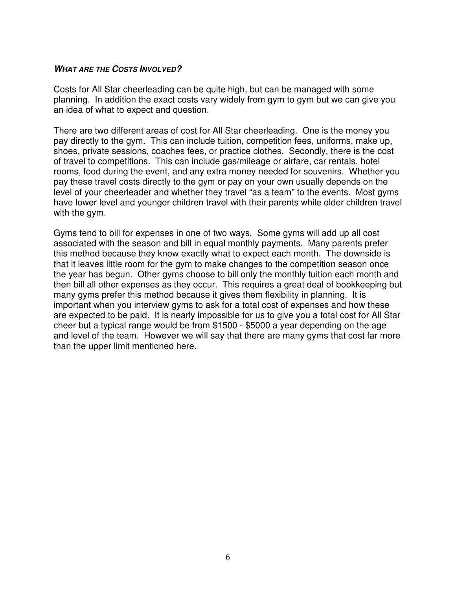#### **WHAT ARE THE COSTS INVOLVED?**

Costs for All Star cheerleading can be quite high, but can be managed with some planning. In addition the exact costs vary widely from gym to gym but we can give you an idea of what to expect and question.

There are two different areas of cost for All Star cheerleading. One is the money you pay directly to the gym. This can include tuition, competition fees, uniforms, make up, shoes, private sessions, coaches fees, or practice clothes. Secondly, there is the cost of travel to competitions. This can include gas/mileage or airfare, car rentals, hotel rooms, food during the event, and any extra money needed for souvenirs. Whether you pay these travel costs directly to the gym or pay on your own usually depends on the level of your cheerleader and whether they travel "as a team" to the events. Most gyms have lower level and younger children travel with their parents while older children travel with the gym.

Gyms tend to bill for expenses in one of two ways. Some gyms will add up all cost associated with the season and bill in equal monthly payments. Many parents prefer this method because they know exactly what to expect each month. The downside is that it leaves little room for the gym to make changes to the competition season once the year has begun. Other gyms choose to bill only the monthly tuition each month and then bill all other expenses as they occur. This requires a great deal of bookkeeping but many gyms prefer this method because it gives them flexibility in planning. It is important when you interview gyms to ask for a total cost of expenses and how these are expected to be paid. It is nearly impossible for us to give you a total cost for All Star cheer but a typical range would be from \$1500 - \$5000 a year depending on the age and level of the team. However we will say that there are many gyms that cost far more than the upper limit mentioned here.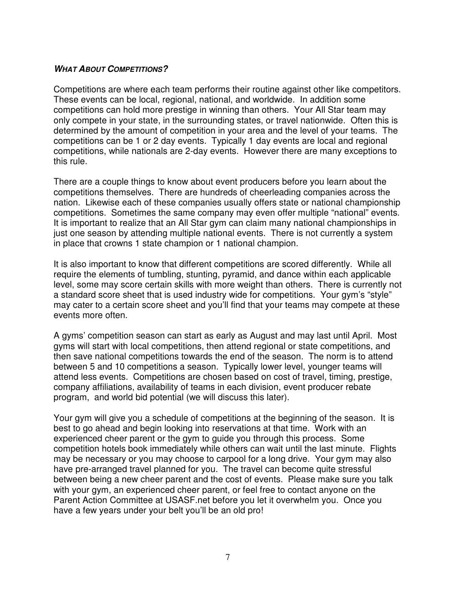#### **WHAT ABOUT COMPETITIONS?**

Competitions are where each team performs their routine against other like competitors. These events can be local, regional, national, and worldwide. In addition some competitions can hold more prestige in winning than others. Your All Star team may only compete in your state, in the surrounding states, or travel nationwide. Often this is determined by the amount of competition in your area and the level of your teams. The competitions can be 1 or 2 day events. Typically 1 day events are local and regional competitions, while nationals are 2-day events. However there are many exceptions to this rule.

There are a couple things to know about event producers before you learn about the competitions themselves. There are hundreds of cheerleading companies across the nation. Likewise each of these companies usually offers state or national championship competitions. Sometimes the same company may even offer multiple "national" events. It is important to realize that an All Star gym can claim many national championships in just one season by attending multiple national events. There is not currently a system in place that crowns 1 state champion or 1 national champion.

It is also important to know that different competitions are scored differently. While all require the elements of tumbling, stunting, pyramid, and dance within each applicable level, some may score certain skills with more weight than others. There is currently not a standard score sheet that is used industry wide for competitions. Your gym's "style" may cater to a certain score sheet and you'll find that your teams may compete at these events more often.

A gyms' competition season can start as early as August and may last until April. Most gyms will start with local competitions, then attend regional or state competitions, and then save national competitions towards the end of the season. The norm is to attend between 5 and 10 competitions a season. Typically lower level, younger teams will attend less events. Competitions are chosen based on cost of travel, timing, prestige, company affiliations, availability of teams in each division, event producer rebate program, and world bid potential (we will discuss this later).

Your gym will give you a schedule of competitions at the beginning of the season. It is best to go ahead and begin looking into reservations at that time. Work with an experienced cheer parent or the gym to guide you through this process. Some competition hotels book immediately while others can wait until the last minute. Flights may be necessary or you may choose to carpool for a long drive. Your gym may also have pre-arranged travel planned for you. The travel can become quite stressful between being a new cheer parent and the cost of events. Please make sure you talk with your gym, an experienced cheer parent, or feel free to contact anyone on the Parent Action Committee at USASF.net before you let it overwhelm you. Once you have a few years under your belt you'll be an old pro!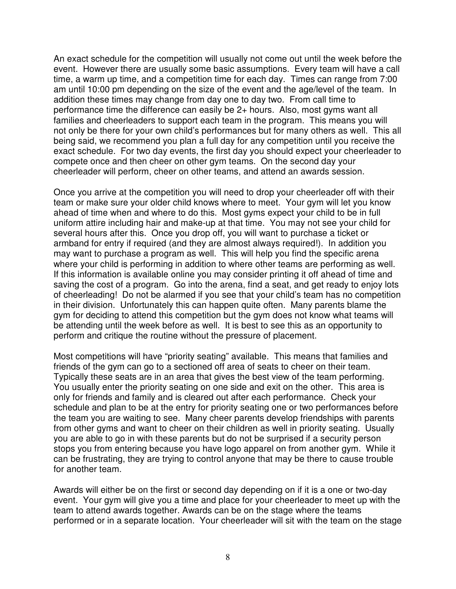An exact schedule for the competition will usually not come out until the week before the event. However there are usually some basic assumptions. Every team will have a call time, a warm up time, and a competition time for each day. Times can range from 7:00 am until 10:00 pm depending on the size of the event and the age/level of the team. In addition these times may change from day one to day two. From call time to performance time the difference can easily be 2+ hours. Also, most gyms want all families and cheerleaders to support each team in the program. This means you will not only be there for your own child's performances but for many others as well. This all being said, we recommend you plan a full day for any competition until you receive the exact schedule. For two day events, the first day you should expect your cheerleader to compete once and then cheer on other gym teams. On the second day your cheerleader will perform, cheer on other teams, and attend an awards session.

Once you arrive at the competition you will need to drop your cheerleader off with their team or make sure your older child knows where to meet. Your gym will let you know ahead of time when and where to do this. Most gyms expect your child to be in full uniform attire including hair and make-up at that time. You may not see your child for several hours after this. Once you drop off, you will want to purchase a ticket or armband for entry if required (and they are almost always required!). In addition you may want to purchase a program as well. This will help you find the specific arena where your child is performing in addition to where other teams are performing as well. If this information is available online you may consider printing it off ahead of time and saving the cost of a program. Go into the arena, find a seat, and get ready to enjoy lots of cheerleading! Do not be alarmed if you see that your child's team has no competition in their division. Unfortunately this can happen quite often. Many parents blame the gym for deciding to attend this competition but the gym does not know what teams will be attending until the week before as well. It is best to see this as an opportunity to perform and critique the routine without the pressure of placement.

Most competitions will have "priority seating" available. This means that families and friends of the gym can go to a sectioned off area of seats to cheer on their team. Typically these seats are in an area that gives the best view of the team performing. You usually enter the priority seating on one side and exit on the other. This area is only for friends and family and is cleared out after each performance. Check your schedule and plan to be at the entry for priority seating one or two performances before the team you are waiting to see. Many cheer parents develop friendships with parents from other gyms and want to cheer on their children as well in priority seating. Usually you are able to go in with these parents but do not be surprised if a security person stops you from entering because you have logo apparel on from another gym. While it can be frustrating, they are trying to control anyone that may be there to cause trouble for another team.

Awards will either be on the first or second day depending on if it is a one or two-day event. Your gym will give you a time and place for your cheerleader to meet up with the team to attend awards together. Awards can be on the stage where the teams performed or in a separate location. Your cheerleader will sit with the team on the stage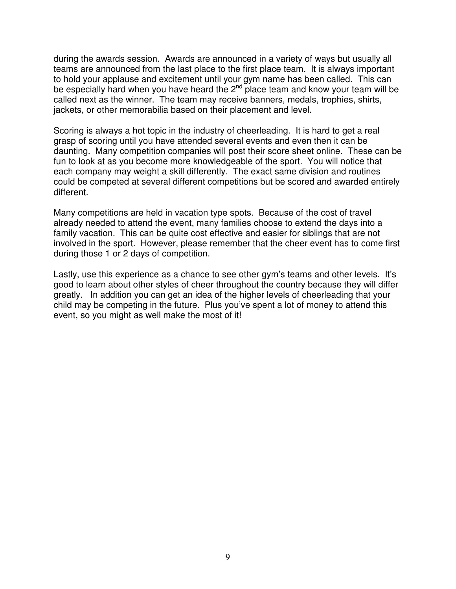during the awards session. Awards are announced in a variety of ways but usually all teams are announced from the last place to the first place team. It is always important to hold your applause and excitement until your gym name has been called. This can be especially hard when you have heard the  $2^{nd}$  place team and know your team will be called next as the winner. The team may receive banners, medals, trophies, shirts, jackets, or other memorabilia based on their placement and level.

Scoring is always a hot topic in the industry of cheerleading. It is hard to get a real grasp of scoring until you have attended several events and even then it can be daunting. Many competition companies will post their score sheet online. These can be fun to look at as you become more knowledgeable of the sport. You will notice that each company may weight a skill differently. The exact same division and routines could be competed at several different competitions but be scored and awarded entirely different.

Many competitions are held in vacation type spots. Because of the cost of travel already needed to attend the event, many families choose to extend the days into a family vacation. This can be quite cost effective and easier for siblings that are not involved in the sport. However, please remember that the cheer event has to come first during those 1 or 2 days of competition.

Lastly, use this experience as a chance to see other gym's teams and other levels. It's good to learn about other styles of cheer throughout the country because they will differ greatly. In addition you can get an idea of the higher levels of cheerleading that your child may be competing in the future. Plus you've spent a lot of money to attend this event, so you might as well make the most of it!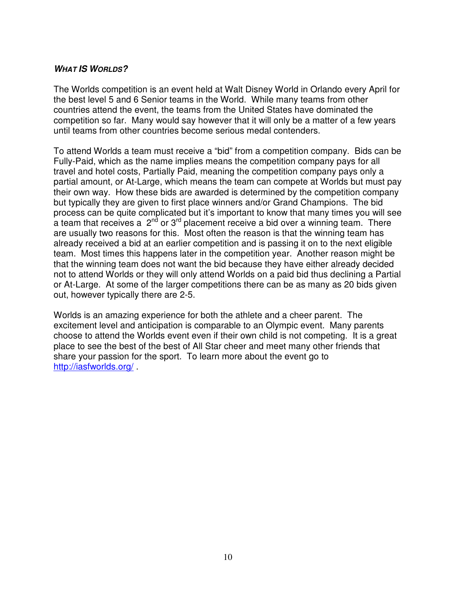#### **WHAT IS WORLDS?**

The Worlds competition is an event held at Walt Disney World in Orlando every April for the best level 5 and 6 Senior teams in the World. While many teams from other countries attend the event, the teams from the United States have dominated the competition so far. Many would say however that it will only be a matter of a few years until teams from other countries become serious medal contenders.

To attend Worlds a team must receive a "bid" from a competition company. Bids can be Fully-Paid, which as the name implies means the competition company pays for all travel and hotel costs, Partially Paid, meaning the competition company pays only a partial amount, or At-Large, which means the team can compete at Worlds but must pay their own way. How these bids are awarded is determined by the competition company but typically they are given to first place winners and/or Grand Champions. The bid process can be quite complicated but it's important to know that many times you will see a team that receives a  $2^{nd}$  or  $3^{rd}$  placement receive a bid over a winning team. There are usually two reasons for this. Most often the reason is that the winning team has already received a bid at an earlier competition and is passing it on to the next eligible team. Most times this happens later in the competition year. Another reason might be that the winning team does not want the bid because they have either already decided not to attend Worlds or they will only attend Worlds on a paid bid thus declining a Partial or At-Large. At some of the larger competitions there can be as many as 20 bids given out, however typically there are 2-5.

Worlds is an amazing experience for both the athlete and a cheer parent. The excitement level and anticipation is comparable to an Olympic event. Many parents choose to attend the Worlds event even if their own child is not competing. It is a great place to see the best of the best of All Star cheer and meet many other friends that share your passion for the sport. To learn more about the event go to http://iasfworlds.org/ .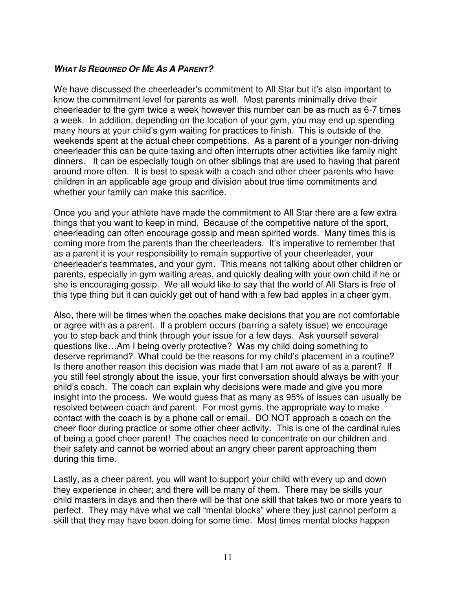#### **WHAT IS REQUIRED OF ME AS A PARENT?**

We have discussed the cheerleader's commitment to All Star but it's also important to know the commitment level for parents as well. Most parents minimally drive their cheerleader to the gym twice a week however this number can be as much as 6-7 times a week. In addition, depending on the location of your gym, you may end up spending many hours at your child's gym waiting for practices to finish. This is outside of the weekends spent at the actual cheer competitions. As a parent of a younger non-driving cheerleader this can be quite taxing and often interrupts other activities like family night dinners. It can be especially tough on other siblings that are used to having that parent around more often. It is best to speak with a coach and other cheer parents who have children in an applicable age group and division about true time commitments and whether your family can make this sacrifice.

Once you and your athlete have made the commitment to All Star there are a few extra things that you want to keep in mind. Because of the competitive nature of the sport, cheerleading can often encourage gossip and mean spirited words. Many times this is coming more from the parents than the cheerleaders. It's imperative to remember that as a parent it is your responsibility to remain supportive of your cheerleader, your cheerleader's teammates, and your gym. This means not talking about other children or parents, especially in gym waiting areas, and quickly dealing with your own child if he or she is encouraging gossip. We all would like to say that the world of All Stars is free of this type thing but it can quickly get out of hand with a few bad apples in a cheer gym.

Also, there will be times when the coaches make decisions that you are not comfortable or agree with as a parent. If a problem occurs (barring a safety issue) we encourage you to step back and think through your issue for a few days. Ask yourself several questions like…Am I being overly protective? Was my child doing something to deserve reprimand? What could be the reasons for my child's placement in a routine? Is there another reason this decision was made that I am not aware of as a parent? If you still feel strongly about the issue, your first conversation should always be with your child's coach. The coach can explain why decisions were made and give you more insight into the process. We would guess that as many as 95% of issues can usually be resolved between coach and parent. For most gyms, the appropriate way to make contact with the coach is by a phone call or email. DO NOT approach a coach on the cheer floor during practice or some other cheer activity. This is one of the cardinal rules of being a good cheer parent! The coaches need to concentrate on our children and their safety and cannot be worried about an angry cheer parent approaching them during this time.

Lastly, as a cheer parent, you will want to support your child with every up and down they experience in cheer; and there will be many of them. There may be skills your child masters in days and then there will be that one skill that takes two or more years to perfect. They may have what we call "mental blocks" where they just cannot perform a skill that they may have been doing for some time. Most times mental blocks happen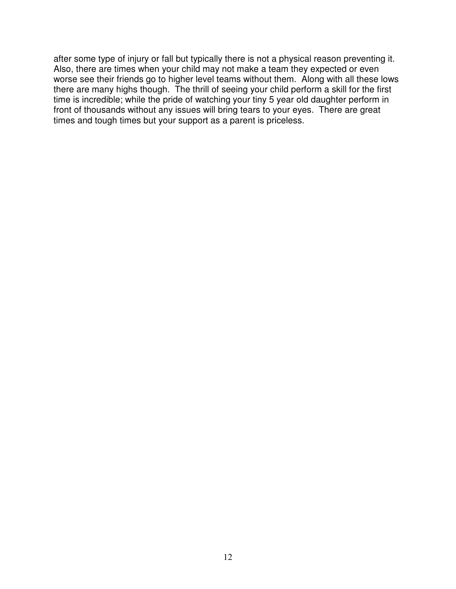after some type of injury or fall but typically there is not a physical reason preventing it. Also, there are times when your child may not make a team they expected or even worse see their friends go to higher level teams without them. Along with all these lows there are many highs though. The thrill of seeing your child perform a skill for the first time is incredible; while the pride of watching your tiny 5 year old daughter perform in front of thousands without any issues will bring tears to your eyes. There are great times and tough times but your support as a parent is priceless.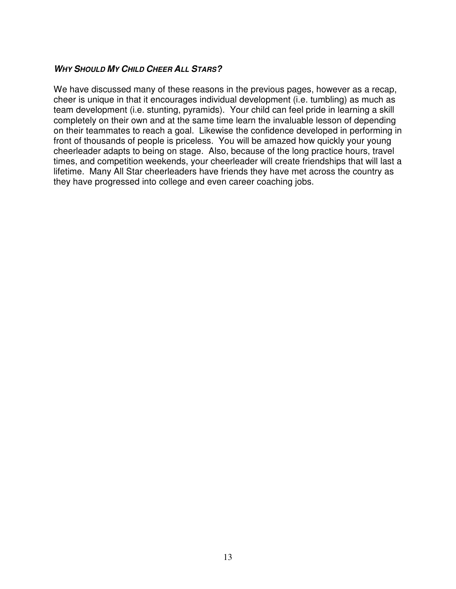#### **WHY SHOULD MY CHILD CHEER ALL STARS?**

We have discussed many of these reasons in the previous pages, however as a recap, cheer is unique in that it encourages individual development (i.e. tumbling) as much as team development (i.e. stunting, pyramids). Your child can feel pride in learning a skill completely on their own and at the same time learn the invaluable lesson of depending on their teammates to reach a goal. Likewise the confidence developed in performing in front of thousands of people is priceless. You will be amazed how quickly your young cheerleader adapts to being on stage. Also, because of the long practice hours, travel times, and competition weekends, your cheerleader will create friendships that will last a lifetime. Many All Star cheerleaders have friends they have met across the country as they have progressed into college and even career coaching jobs.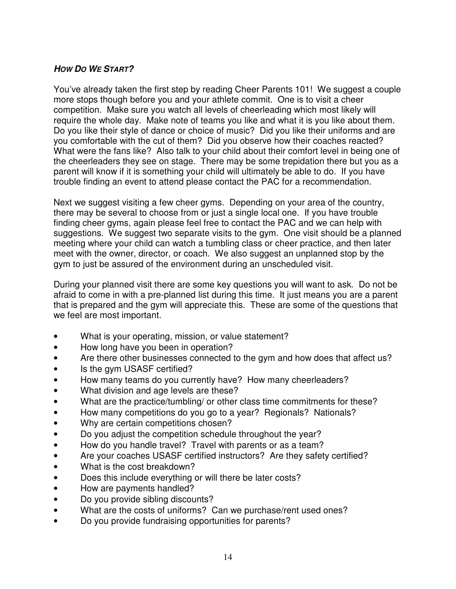# **HOW DO WE START?**

You've already taken the first step by reading Cheer Parents 101! We suggest a couple more stops though before you and your athlete commit. One is to visit a cheer competition. Make sure you watch all levels of cheerleading which most likely will require the whole day. Make note of teams you like and what it is you like about them. Do you like their style of dance or choice of music? Did you like their uniforms and are you comfortable with the cut of them? Did you observe how their coaches reacted? What were the fans like? Also talk to your child about their comfort level in being one of the cheerleaders they see on stage. There may be some trepidation there but you as a parent will know if it is something your child will ultimately be able to do. If you have trouble finding an event to attend please contact the PAC for a recommendation.

Next we suggest visiting a few cheer gyms. Depending on your area of the country, there may be several to choose from or just a single local one. If you have trouble finding cheer gyms, again please feel free to contact the PAC and we can help with suggestions. We suggest two separate visits to the gym. One visit should be a planned meeting where your child can watch a tumbling class or cheer practice, and then later meet with the owner, director, or coach. We also suggest an unplanned stop by the gym to just be assured of the environment during an unscheduled visit.

During your planned visit there are some key questions you will want to ask. Do not be afraid to come in with a pre-planned list during this time. It just means you are a parent that is prepared and the gym will appreciate this. These are some of the questions that we feel are most important.

- What is your operating, mission, or value statement?
- How long have you been in operation?
- Are there other businesses connected to the gym and how does that affect us?
- Is the gym USASF certified?
- How many teams do you currently have? How many cheerleaders?
- What division and age levels are these?
- What are the practice/tumbling/ or other class time commitments for these?
- How many competitions do you go to a year? Regionals? Nationals?
- Why are certain competitions chosen?
- Do you adjust the competition schedule throughout the year?
- How do you handle travel? Travel with parents or as a team?
- Are your coaches USASF certified instructors? Are they safety certified?
- What is the cost breakdown?
- Does this include everything or will there be later costs?
- How are payments handled?
- Do you provide sibling discounts?
- What are the costs of uniforms? Can we purchase/rent used ones?
- Do you provide fundraising opportunities for parents?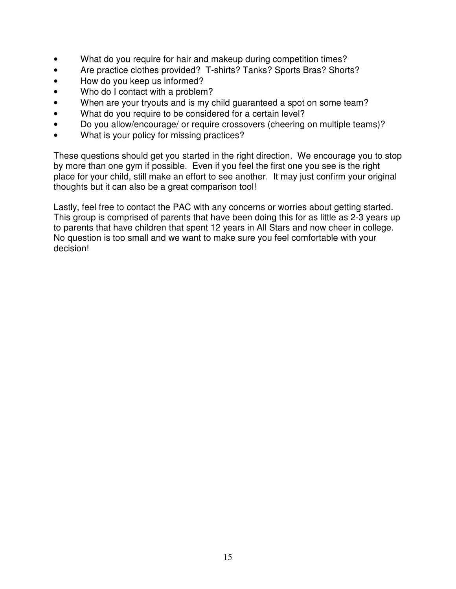- What do you require for hair and makeup during competition times?
- Are practice clothes provided? T-shirts? Tanks? Sports Bras? Shorts?
- How do you keep us informed?
- Who do I contact with a problem?
- When are your tryouts and is my child guaranteed a spot on some team?
- What do you require to be considered for a certain level?
- Do you allow/encourage/ or require crossovers (cheering on multiple teams)?
- What is your policy for missing practices?

These questions should get you started in the right direction. We encourage you to stop by more than one gym if possible. Even if you feel the first one you see is the right place for your child, still make an effort to see another. It may just confirm your original thoughts but it can also be a great comparison tool!

Lastly, feel free to contact the PAC with any concerns or worries about getting started. This group is comprised of parents that have been doing this for as little as 2-3 years up to parents that have children that spent 12 years in All Stars and now cheer in college. No question is too small and we want to make sure you feel comfortable with your decision!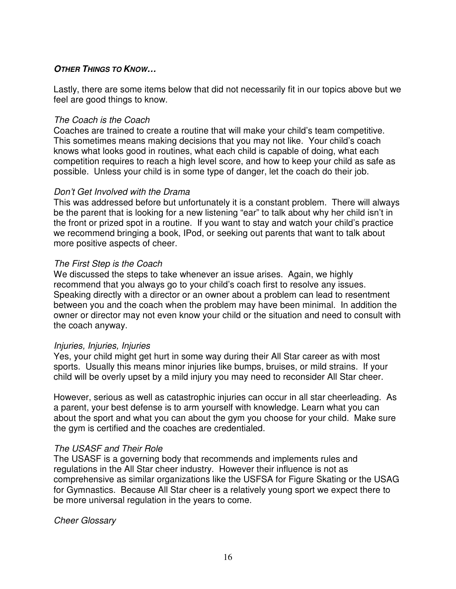#### **OTHER THINGS TO KNOW…**

Lastly, there are some items below that did not necessarily fit in our topics above but we feel are good things to know.

#### The Coach is the Coach

Coaches are trained to create a routine that will make your child's team competitive. This sometimes means making decisions that you may not like. Your child's coach knows what looks good in routines, what each child is capable of doing, what each competition requires to reach a high level score, and how to keep your child as safe as possible. Unless your child is in some type of danger, let the coach do their job.

#### Don't Get Involved with the Drama

This was addressed before but unfortunately it is a constant problem. There will always be the parent that is looking for a new listening "ear" to talk about why her child isn't in the front or prized spot in a routine. If you want to stay and watch your child's practice we recommend bringing a book, IPod, or seeking out parents that want to talk about more positive aspects of cheer.

#### The First Step is the Coach

We discussed the steps to take whenever an issue arises. Again, we highly recommend that you always go to your child's coach first to resolve any issues. Speaking directly with a director or an owner about a problem can lead to resentment between you and the coach when the problem may have been minimal. In addition the owner or director may not even know your child or the situation and need to consult with the coach anyway.

#### Injuries, Injuries, Injuries

Yes, your child might get hurt in some way during their All Star career as with most sports. Usually this means minor injuries like bumps, bruises, or mild strains. If your child will be overly upset by a mild injury you may need to reconsider All Star cheer.

However, serious as well as catastrophic injuries can occur in all star cheerleading. As a parent, your best defense is to arm yourself with knowledge. Learn what you can about the sport and what you can about the gym you choose for your child. Make sure the gym is certified and the coaches are credentialed.

#### The USASF and Their Role

The USASF is a governing body that recommends and implements rules and regulations in the All Star cheer industry. However their influence is not as comprehensive as similar organizations like the USFSA for Figure Skating or the USAG for Gymnastics. Because All Star cheer is a relatively young sport we expect there to be more universal regulation in the years to come.

Cheer Glossary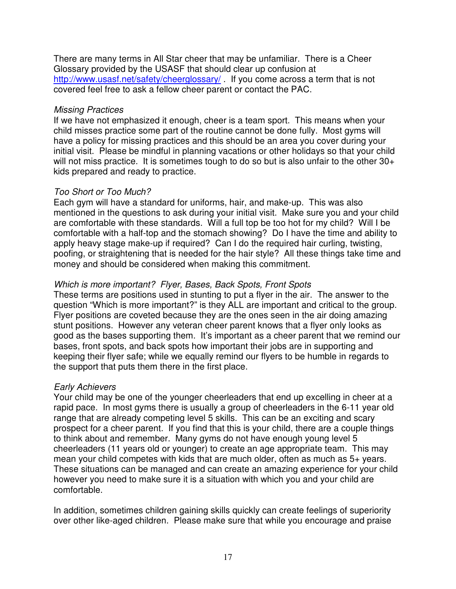There are many terms in All Star cheer that may be unfamiliar. There is a Cheer Glossary provided by the USASF that should clear up confusion at http://www.usasf.net/safety/cheerglossary/. If you come across a term that is not covered feel free to ask a fellow cheer parent or contact the PAC.

#### Missing Practices

If we have not emphasized it enough, cheer is a team sport. This means when your child misses practice some part of the routine cannot be done fully. Most gyms will have a policy for missing practices and this should be an area you cover during your initial visit. Please be mindful in planning vacations or other holidays so that your child will not miss practice. It is sometimes tough to do so but is also unfair to the other 30+ kids prepared and ready to practice.

#### Too Short or Too Much?

Each gym will have a standard for uniforms, hair, and make-up. This was also mentioned in the questions to ask during your initial visit. Make sure you and your child are comfortable with these standards. Will a full top be too hot for my child? Will I be comfortable with a half-top and the stomach showing? Do I have the time and ability to apply heavy stage make-up if required? Can I do the required hair curling, twisting, poofing, or straightening that is needed for the hair style? All these things take time and money and should be considered when making this commitment.

# Which is more important? Flyer, Bases, Back Spots, Front Spots

These terms are positions used in stunting to put a flyer in the air. The answer to the question "Which is more important?" is they ALL are important and critical to the group. Flyer positions are coveted because they are the ones seen in the air doing amazing stunt positions. However any veteran cheer parent knows that a flyer only looks as good as the bases supporting them. It's important as a cheer parent that we remind our bases, front spots, and back spots how important their jobs are in supporting and keeping their flyer safe; while we equally remind our flyers to be humble in regards to the support that puts them there in the first place.

### Early Achievers

Your child may be one of the younger cheerleaders that end up excelling in cheer at a rapid pace. In most gyms there is usually a group of cheerleaders in the 6-11 year old range that are already competing level 5 skills. This can be an exciting and scary prospect for a cheer parent. If you find that this is your child, there are a couple things to think about and remember. Many gyms do not have enough young level 5 cheerleaders (11 years old or younger) to create an age appropriate team. This may mean your child competes with kids that are much older, often as much as 5+ years. These situations can be managed and can create an amazing experience for your child however you need to make sure it is a situation with which you and your child are comfortable.

In addition, sometimes children gaining skills quickly can create feelings of superiority over other like-aged children. Please make sure that while you encourage and praise